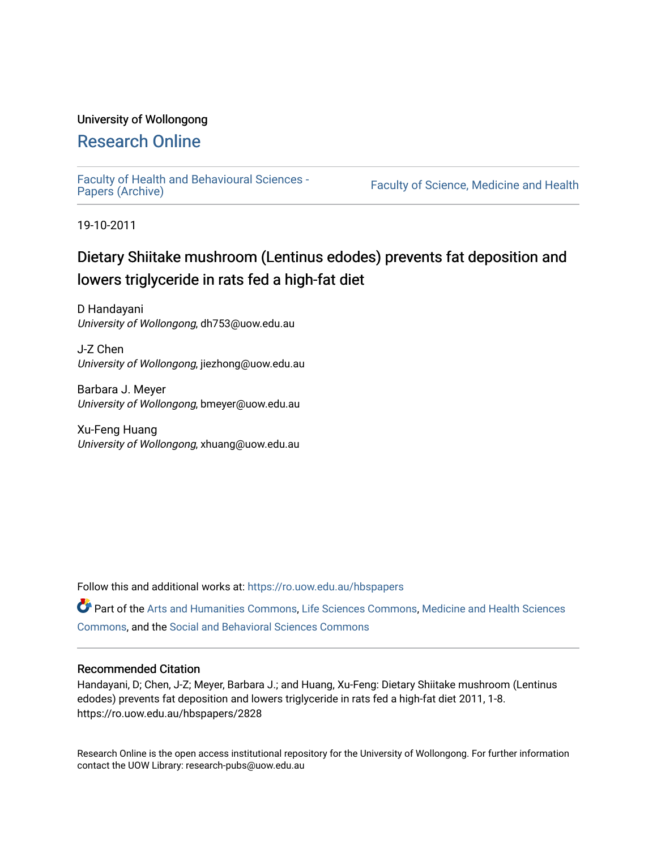# University of Wollongong

# [Research Online](https://ro.uow.edu.au/)

[Faculty of Health and Behavioural Sciences -](https://ro.uow.edu.au/hbspapers)<br>Papers (Archive)

Faculty of Science, Medicine and Health

19-10-2011

# Dietary Shiitake mushroom (Lentinus edodes) prevents fat deposition and lowers triglyceride in rats fed a high-fat diet

D Handayani University of Wollongong, dh753@uow.edu.au

J-Z Chen University of Wollongong, jiezhong@uow.edu.au

Barbara J. Meyer University of Wollongong, bmeyer@uow.edu.au

Xu-Feng Huang University of Wollongong, xhuang@uow.edu.au

Follow this and additional works at: [https://ro.uow.edu.au/hbspapers](https://ro.uow.edu.au/hbspapers?utm_source=ro.uow.edu.au%2Fhbspapers%2F2828&utm_medium=PDF&utm_campaign=PDFCoverPages) 

Part of the [Arts and Humanities Commons,](http://network.bepress.com/hgg/discipline/438?utm_source=ro.uow.edu.au%2Fhbspapers%2F2828&utm_medium=PDF&utm_campaign=PDFCoverPages) [Life Sciences Commons,](http://network.bepress.com/hgg/discipline/1016?utm_source=ro.uow.edu.au%2Fhbspapers%2F2828&utm_medium=PDF&utm_campaign=PDFCoverPages) [Medicine and Health Sciences](http://network.bepress.com/hgg/discipline/648?utm_source=ro.uow.edu.au%2Fhbspapers%2F2828&utm_medium=PDF&utm_campaign=PDFCoverPages) [Commons](http://network.bepress.com/hgg/discipline/648?utm_source=ro.uow.edu.au%2Fhbspapers%2F2828&utm_medium=PDF&utm_campaign=PDFCoverPages), and the [Social and Behavioral Sciences Commons](http://network.bepress.com/hgg/discipline/316?utm_source=ro.uow.edu.au%2Fhbspapers%2F2828&utm_medium=PDF&utm_campaign=PDFCoverPages)

## Recommended Citation

Handayani, D; Chen, J-Z; Meyer, Barbara J.; and Huang, Xu-Feng: Dietary Shiitake mushroom (Lentinus edodes) prevents fat deposition and lowers triglyceride in rats fed a high-fat diet 2011, 1-8. https://ro.uow.edu.au/hbspapers/2828

Research Online is the open access institutional repository for the University of Wollongong. For further information contact the UOW Library: research-pubs@uow.edu.au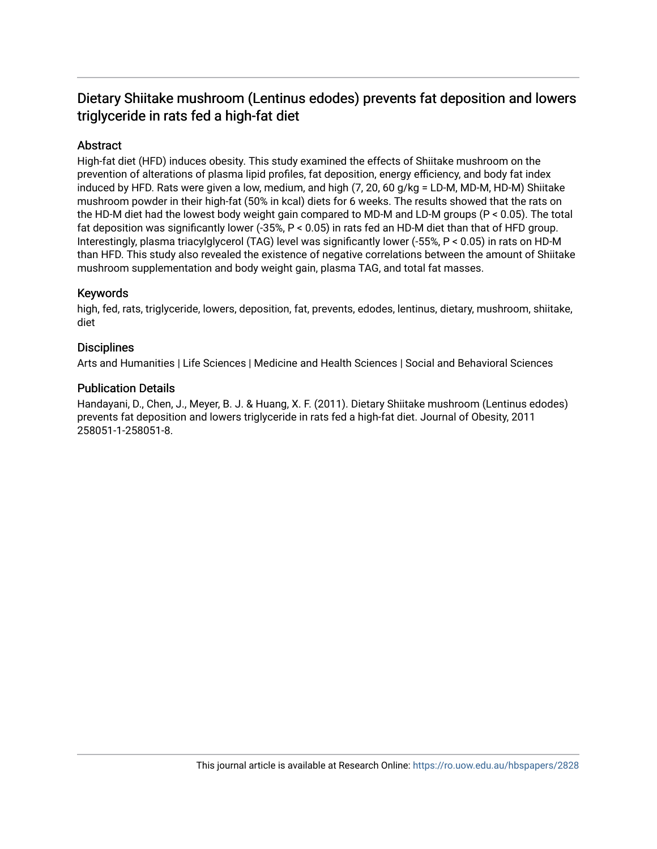# Dietary Shiitake mushroom (Lentinus edodes) prevents fat deposition and lowers triglyceride in rats fed a high-fat diet

# **Abstract**

High-fat diet (HFD) induces obesity. This study examined the effects of Shiitake mushroom on the prevention of alterations of plasma lipid profiles, fat deposition, energy efficiency, and body fat index induced by HFD. Rats were given a low, medium, and high (7, 20, 60 g/kg = LD-M, MD-M, HD-M) Shiitake mushroom powder in their high-fat (50% in kcal) diets for 6 weeks. The results showed that the rats on the HD-M diet had the lowest body weight gain compared to MD-M and LD-M groups (P < 0.05). The total fat deposition was significantly lower (-35%, P < 0.05) in rats fed an HD-M diet than that of HFD group. Interestingly, plasma triacylglycerol (TAG) level was significantly lower (-55%, P < 0.05) in rats on HD-M than HFD. This study also revealed the existence of negative correlations between the amount of Shiitake mushroom supplementation and body weight gain, plasma TAG, and total fat masses.

# Keywords

high, fed, rats, triglyceride, lowers, deposition, fat, prevents, edodes, lentinus, dietary, mushroom, shiitake, diet

# **Disciplines**

Arts and Humanities | Life Sciences | Medicine and Health Sciences | Social and Behavioral Sciences

## Publication Details

Handayani, D., Chen, J., Meyer, B. J. & Huang, X. F. (2011). Dietary Shiitake mushroom (Lentinus edodes) prevents fat deposition and lowers triglyceride in rats fed a high-fat diet. Journal of Obesity, 2011 258051-1-258051-8.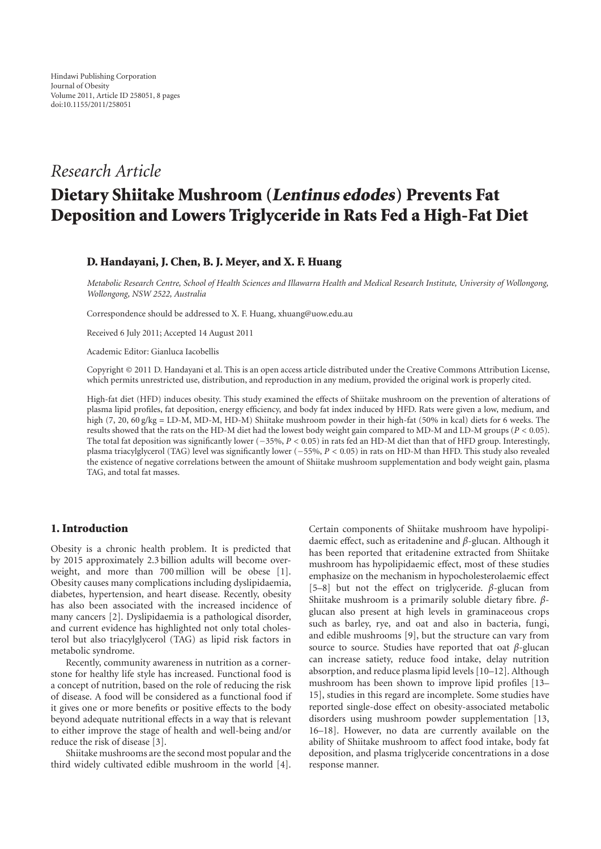# *Research Article*

# **Dietary Shiitake Mushroom (Lentinus edodes) Prevents Fat Deposition and Lowers Triglyceride in Rats Fed a High-Fat Diet**

## **D. Handayani, J. Chen, B. J. Meyer, and X. F. Huang**

*Metabolic Research Centre, School of Health Sciences and Illawarra Health and Medical Research Institute, University of Wollongong, Wollongong, NSW 2522, Australia*

Correspondence should be addressed to X. F. Huang, xhuang@uow.edu.au

Received 6 July 2011; Accepted 14 August 2011

Academic Editor: Gianluca Iacobellis

Copyright © 2011 D. Handayani et al. This is an open access article distributed under the Creative Commons Attribution License, which permits unrestricted use, distribution, and reproduction in any medium, provided the original work is properly cited.

High-fat diet (HFD) induces obesity. This study examined the effects of Shiitake mushroom on the prevention of alterations of plasma lipid profiles, fat deposition, energy efficiency, and body fat index induced by HFD. Rats were given a low, medium, and high (7, 20, 60 g/kg = LD-M, MD-M, HD-M) Shiitake mushroom powder in their high-fat (50% in kcal) diets for 6 weeks. The results showed that the rats on the HD-M diet had the lowest body weight gain compared to MD-M and LD-M groups (*P <* 0*.*05). The total fat deposition was significantly lower (−35%, *P <* <sup>0</sup>*.*05) in rats fed an HD-M diet than that of HFD group. Interestingly, plasma triacylglycerol (TAG) level was significantly lower (−55%, *P <* <sup>0</sup>*.*05) in rats on HD-M than HFD. This study also revealed the existence of negative correlations between the amount of Shiitake mushroom supplementation and body weight gain, plasma TAG, and total fat masses.

### **1. Introduction**

Obesity is a chronic health problem. It is predicted that by 2015 approximately 2.3 billion adults will become overweight, and more than 700 million will be obese [1]. Obesity causes many complications including dyslipidaemia, diabetes, hypertension, and heart disease. Recently, obesity has also been associated with the increased incidence of many cancers [2]. Dyslipidaemia is a pathological disorder, and current evidence has highlighted not only total cholesterol but also triacylglycerol (TAG) as lipid risk factors in metabolic syndrome.

Recently, community awareness in nutrition as a cornerstone for healthy life style has increased. Functional food is a concept of nutrition, based on the role of reducing the risk of disease. A food will be considered as a functional food if it gives one or more benefits or positive effects to the body beyond adequate nutritional effects in a way that is relevant to either improve the stage of health and well-being and/or reduce the risk of disease [3].

Shiitake mushrooms are the second most popular and the third widely cultivated edible mushroom in the world [4]. Certain components of Shiitake mushroom have hypolipidaemic effect, such as eritadenine and *β*-glucan. Although it has been reported that eritadenine extracted from Shiitake mushroom has hypolipidaemic effect, most of these studies emphasize on the mechanism in hypocholesterolaemic effect [5–8] but not the effect on triglyceride. *β*-glucan from Shiitake mushroom is a primarily soluble dietary fibre. *β*glucan also present at high levels in graminaceous crops such as barley, rye, and oat and also in bacteria, fungi, and edible mushrooms [9], but the structure can vary from source to source. Studies have reported that oat *β*-glucan can increase satiety, reduce food intake, delay nutrition absorption, and reduce plasma lipid levels [10–12]. Although mushroom has been shown to improve lipid profiles [13– 15], studies in this regard are incomplete. Some studies have reported single-dose effect on obesity-associated metabolic disorders using mushroom powder supplementation [13, 16–18]. However, no data are currently available on the ability of Shiitake mushroom to affect food intake, body fat deposition, and plasma triglyceride concentrations in a dose response manner.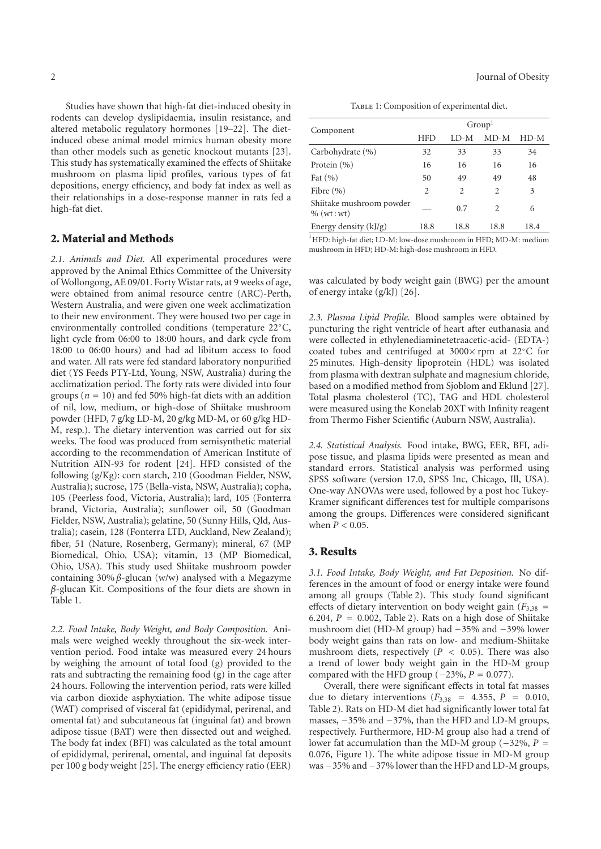Studies have shown that high-fat diet-induced obesity in rodents can develop dyslipidaemia, insulin resistance, and altered metabolic regulatory hormones [19–22]. The dietinduced obese animal model mimics human obesity more than other models such as genetic knockout mutants [23]. This study has systematically examined the effects of Shiitake mushroom on plasma lipid profiles, various types of fat depositions, energy efficiency, and body fat index as well as their relationships in a dose-response manner in rats fed a high-fat diet.

#### **2. Material and Methods**

*2.1. Animals and Diet.* All experimental procedures were approved by the Animal Ethics Committee of the University of Wollongong, AE 09/01. Forty Wistar rats, at 9 weeks of age, were obtained from animal resource centre (ARC)-Perth, Western Australia, and were given one week acclimatization to their new environment. They were housed two per cage in environmentally controlled conditions (temperature 22◦C, light cycle from 06:00 to 18:00 hours, and dark cycle from 18:00 to 06:00 hours) and had ad libitum access to food and water. All rats were fed standard laboratory nonpurified diet (YS Feeds PTY-Ltd, Young, NSW, Australia) during the acclimatization period. The forty rats were divided into four groups ( $n = 10$ ) and fed 50% high-fat diets with an addition of nil, low, medium, or high-dose of Shiitake mushroom powder (HFD, 7 g/kg LD-M, 20 g/kg MD-M, or 60 g/kg HD-M, resp.). The dietary intervention was carried out for six weeks. The food was produced from semisynthetic material according to the recommendation of American Institute of Nutrition AIN-93 for rodent [24]. HFD consisted of the following (g/Kg): corn starch, 210 (Goodman Fielder, NSW, Australia); sucrose, 175 (Bella-vista, NSW, Australia); copha, 105 (Peerless food, Victoria, Australia); lard, 105 (Fonterra brand, Victoria, Australia); sunflower oil, 50 (Goodman Fielder, NSW, Australia); gelatine, 50 (Sunny Hills, Qld, Australia); casein, 128 (Fonterra LTD, Auckland, New Zealand); fiber, 51 (Nature, Rosenberg, Germany); mineral, 67 (MP Biomedical, Ohio, USA); vitamin, 13 (MP Biomedical, Ohio, USA). This study used Shiitake mushroom powder containing 30% *β*-glucan (w/w) analysed with a Megazyme *β*-glucan Kit. Compositions of the four diets are shown in Table 1.

*2.2. Food Intake, Body Weight, and Body Composition.* Animals were weighed weekly throughout the six-week intervention period. Food intake was measured every 24 hours by weighing the amount of total food (g) provided to the rats and subtracting the remaining food (g) in the cage after 24 hours. Following the intervention period, rats were killed via carbon dioxide asphyxiation. The white adipose tissue (WAT) comprised of visceral fat (epididymal, perirenal, and omental fat) and subcutaneous fat (inguinal fat) and brown adipose tissue (BAT) were then dissected out and weighed. The body fat index (BFI) was calculated as the total amount of epididymal, perirenal, omental, and inguinal fat deposits per 100 g body weight [25]. The energy efficiency ratio (EER)

TABLE 1: Composition of experimental diet.

| Component                                | Group <sup>1</sup> |        |                          |      |  |
|------------------------------------------|--------------------|--------|--------------------------|------|--|
|                                          | <b>HFD</b>         | $LD-M$ | $MD-M$                   | HD-M |  |
| Carbohydrate (%)                         | 32                 | 33     | 33                       | 34   |  |
| Protein $(\% )$                          | 16                 | 16     | 16                       | 16   |  |
| Fat $(\% )$                              | 50                 | 49     | 49                       | 48   |  |
| Fibre $(\% )$                            | 2                  | 2      | 2                        | 3    |  |
| Shiitake mushroom powder<br>$%$ (wt: wt) |                    | 0.7    | $\mathfrak{D}_{1}^{(1)}$ | 6    |  |
| Energy density $(kJ/g)$                  | 18.8               | 18.8   | 18.8                     | 18.4 |  |

<sup>1</sup>HFD: high-fat diet; LD-M: low-dose mushroom in HFD; MD-M: medium mushroom in HFD; HD-M: high-dose mushroom in HFD.

was calculated by body weight gain (BWG) per the amount of energy intake (g/kJ) [26].

*2.3. Plasma Lipid Profile.* Blood samples were obtained by puncturing the right ventricle of heart after euthanasia and were collected in ethylenediaminetetraacetic-acid- (EDTA-) coated tubes and centrifuged at 3000× rpm at 22◦C for 25 minutes. High-density lipoprotein (HDL) was isolated from plasma with dextran sulphate and magnesium chloride, based on a modified method from Sjoblom and Eklund [27]. Total plasma cholesterol (TC), TAG and HDL cholesterol were measured using the Konelab 20XT with Infinity reagent from Thermo Fisher Scientific (Auburn NSW, Australia).

*2.4. Statistical Analysis.* Food intake, BWG, EER, BFI, adipose tissue, and plasma lipids were presented as mean and standard errors. Statistical analysis was performed using SPSS software (version 17.0, SPSS Inc, Chicago, Ill, USA). One-way ANOVAs were used, followed by a post hoc Tukey-Kramer significant differences test for multiple comparisons among the groups. Differences were considered significant when  $\tilde{P}$  < 0.05.

#### **3. Results**

*3.1. Food Intake, Body Weight, and Fat Deposition.* No differences in the amount of food or energy intake were found among all groups (Table 2). This study found significant effects of dietary intervention on body weight gain  $(F_{3,38} =$ 6.204,  $P = 0.002$ , Table 2). Rats on a high dose of Shiitake mushroom diet (HD-M group) had −35% and −39% lower body weight gains than rats on low- and medium-Shiitake mushroom diets, respectively (*P <* 0*.*05). There was also a trend of lower body weight gain in the HD-M group compared with the HFD group ( $-23\%$ ,  $P = 0.077$ ).

Overall, there were significant effects in total fat masses due to dietary interventions  $(F_{3,38} = 4.355, P = 0.010,$ Table 2). Rats on HD-M diet had significantly lower total fat masses, −35% and −37%, than the HFD and LD-M groups, respectively. Furthermore, HD-M group also had a trend of lower fat accumulation than the MD-M group (−32%, *<sup>P</sup>* <sup>=</sup> 0*.*076, Figure 1). The white adipose tissue in MD-M group was −35% and −37% lower than the HFD and LD-M groups,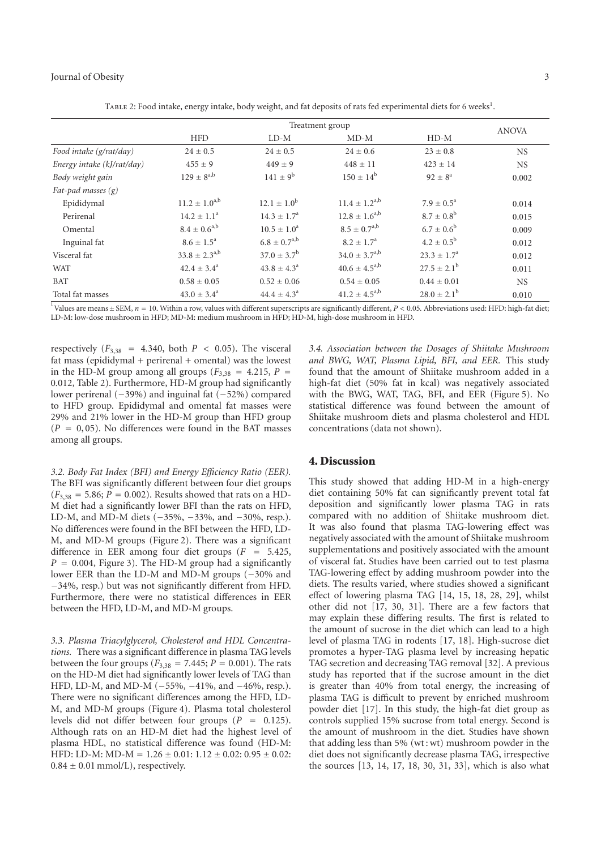#### Journal of Obesity 3

|                            | Treatment group        |                        |                      |                          | <b>ANOVA</b> |
|----------------------------|------------------------|------------------------|----------------------|--------------------------|--------------|
|                            | <b>HFD</b>             | $LD-M$                 | $MD-M$               | $HD-M$                   |              |
| Food intake (g/rat/day)    | $24 \pm 0.5$           | $24 \pm 0.5$           | $24 \pm 0.6$         | $23 \pm 0.8$             | <b>NS</b>    |
| Energy intake (kJ/rat/day) | $455 \pm 9$            | $449 \pm 9$            | $448 \pm 11$         | $423 + 14$               | <b>NS</b>    |
| Body weight gain           | $129 + 8^{a,b}$        | $141 \pm 9^b$          | $150 \pm 14^b$       | $92 \pm 8^{\rm a}$       | 0.002        |
| Fat-pad masses $(g)$       |                        |                        |                      |                          |              |
| Epididymal                 | $11.2 \pm 1.0^{a,b}$   | $12.1 \pm 1.0^{\rm b}$ | $11.4 \pm 1.2^{a,b}$ | $7.9 \pm 0.5^{\text{a}}$ | 0.014        |
| Perirenal                  | $14.2 \pm 1.1^a$       | $14.3 \pm 1.7^{\circ}$ | $12.8 \pm 1.6^{a,b}$ | $8.7 \pm 0.8^{\rm b}$    | 0.015        |
| Omental                    | $8.4 \pm 0.6^{a,b}$    | $10.5 \pm 1.0^a$       | $8.5 \pm 0.7^{a,b}$  | $6.7 \pm 0.6^b$          | 0.009        |
| Inguinal fat               | $8.6 \pm 1.5^{\circ}$  | $6.8 \pm 0.7^{a,b}$    | $8.2 + 1.7a$         | $4.2 \pm 0.5^{\rm b}$    | 0.012        |
| Visceral fat               | $33.8 + 2.3^{a,b}$     | $37.0 \pm 3.7^{\rm b}$ | $34.0 \pm 3.7^{a,b}$ | $23.3 + 1.7a$            | 0.012        |
| <b>WAT</b>                 | $42.4 \pm 3.4^{\circ}$ | $43.8 \pm 4.3^{\circ}$ | $40.6 \pm 4.5^{a,b}$ | $27.5 \pm 2.1^{\rm b}$   | 0.011        |
| <b>BAT</b>                 | $0.58 \pm 0.05$        | $0.52 \pm 0.06$        | $0.54 \pm 0.05$      | $0.44 \pm 0.01$          | <b>NS</b>    |
| Total fat masses           | $43.0 \pm 3.4^{\circ}$ | $44.4 \pm 4.3^{\circ}$ | $41.2 \pm 4.5^{a,b}$ | $28.0 \pm 2.1^b$         | 0.010        |

TABLE 2: Food intake, energy intake, body weight, and fat deposits of rats fed experimental diets for 6 weeks<sup>1</sup>.

<sup>1</sup> Values are means  $\pm$  SEM,  $n = 10$ . Within a row, values with different superscripts are significantly different,  $P < 0.05$ . Abbreviations used: HFD: high-fat diet; LD-M: low-dose mushroom in HFD; MD-M: medium mushroom in HFD; HD-M, high-dose mushroom in HFD.

respectively  $(F_{3,38} = 4.340, \text{ both } P < 0.05)$ . The visceral fat mass (epididymal + perirenal + omental) was the lowest in the HD-M group among all groups ( $F_{3,38}$  = 4.215,  $P$  = 0*.*012, Table 2). Furthermore, HD-M group had significantly lower perirenal (−39%) and inguinal fat (−52%) compared to HFD group. Epididymal and omental fat masses were 29% and 21% lower in the HD-M group than HFD group  $(P = 0, 05)$ . No differences were found in the BAT masses among all groups.

*3.2. Body Fat Index (BFI) and Energy Efficiency Ratio (EER).* The BFI was significantly different between four diet groups  $(F_{3,38} = 5.86; P = 0.002)$ . Results showed that rats on a HD-M diet had a significantly lower BFI than the rats on HFD, LD-M, and MD-M diets (−35%, −33%, and −30%, resp.). No differences were found in the BFI between the HFD, LD-M, and MD-M groups (Figure 2). There was a significant difference in EER among four diet groups (*<sup>F</sup>* <sup>=</sup> <sup>5</sup>*.*425,  $P = 0.004$ , Figure 3). The HD-M group had a significantly lower EER than the LD-M and MD-M groups (−30% and −34%, resp.) but was not significantly different from HFD. Furthermore, there were no statistical differences in EER between the HFD, LD-M, and MD-M groups.

*3.3. Plasma Triacylglycerol, Cholesterol and HDL Concentrations.* There was a significant difference in plasma TAG levels between the four groups ( $F_{3,38} = 7.445; P = 0.001$ ). The rats on the HD-M diet had significantly lower levels of TAG than HFD, LD-M, and MD-M (−55%, −41%, and −46%, resp.). There were no significant differences among the HFD, LD-M, and MD-M groups (Figure 4). Plasma total cholesterol levels did not differ between four groups (*<sup>P</sup>* <sup>=</sup> <sup>0</sup>*.*125). Although rats on an HD-M diet had the highest level of plasma HDL, no statistical difference was found (HD-M: HFD: LD-M: MD-M <sup>=</sup> <sup>1</sup>*.*<sup>26</sup> <sup>±</sup> <sup>0</sup>*.*01: 1*.*<sup>12</sup> <sup>±</sup> <sup>0</sup>*.*02: 0*.*<sup>95</sup> <sup>±</sup> <sup>0</sup>*.*02:  $0.84 \pm 0.01$  mmol/L), respectively.

*3.4. Association between the Dosages of Shiitake Mushroom and BWG, WAT, Plasma Lipid, BFI, and EER.* This study found that the amount of Shiitake mushroom added in a high-fat diet (50% fat in kcal) was negatively associated with the BWG, WAT, TAG, BFI, and EER (Figure 5). No statistical difference was found between the amount of Shiitake mushroom diets and plasma cholesterol and HDL concentrations (data not shown).

#### **4. Discussion**

This study showed that adding HD-M in a high-energy diet containing 50% fat can significantly prevent total fat deposition and significantly lower plasma TAG in rats compared with no addition of Shiitake mushroom diet. It was also found that plasma TAG-lowering effect was negatively associated with the amount of Shiitake mushroom supplementations and positively associated with the amount of visceral fat. Studies have been carried out to test plasma TAG-lowering effect by adding mushroom powder into the diets. The results varied, where studies showed a significant effect of lowering plasma TAG [14, 15, 18, 28, 29], whilst other did not [17, 30, 31]. There are a few factors that may explain these differing results. The first is related to the amount of sucrose in the diet which can lead to a high level of plasma TAG in rodents [17, 18]. High-sucrose diet promotes a hyper-TAG plasma level by increasing hepatic TAG secretion and decreasing TAG removal [32]. A previous study has reported that if the sucrose amount in the diet is greater than 40% from total energy, the increasing of plasma TAG is difficult to prevent by enriched mushroom powder diet [17]. In this study, the high-fat diet group as controls supplied 15% sucrose from total energy. Second is the amount of mushroom in the diet. Studies have shown that adding less than  $5\%$  (wt:wt) mushroom powder in the diet does not significantly decrease plasma TAG, irrespective the sources [13, 14, 17, 18, 30, 31, 33], which is also what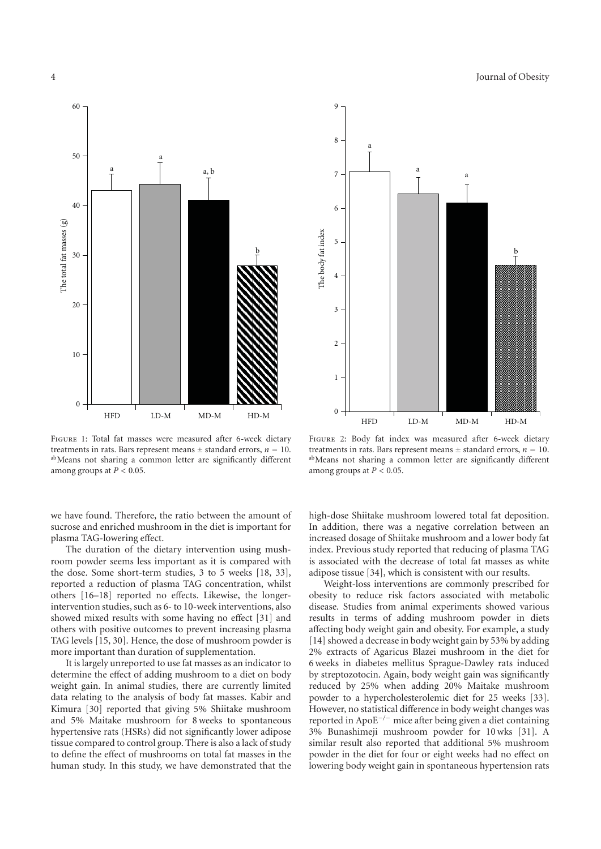

Figure 1: Total fat masses were measured after 6-week dietary treatments in rats. Bars represent means  $\pm$  standard errors,  $n = 10$ .<br><sup>ab</sup>Means not sharing a common letter are significantly different among groups at  $P < 0.05$ .

we have found. Therefore, the ratio between the amount of sucrose and enriched mushroom in the diet is important for plasma TAG-lowering effect.

The duration of the dietary intervention using mushroom powder seems less important as it is compared with the dose. Some short-term studies, 3 to 5 weeks [18, 33], reported a reduction of plasma TAG concentration, whilst others [16–18] reported no effects. Likewise, the longerintervention studies, such as 6- to 10-week interventions, also showed mixed results with some having no effect [31] and others with positive outcomes to prevent increasing plasma TAG levels [15, 30]. Hence, the dose of mushroom powder is more important than duration of supplementation.

It is largely unreported to use fat masses as an indicator to determine the effect of adding mushroom to a diet on body weight gain. In animal studies, there are currently limited data relating to the analysis of body fat masses. Kabir and Kimura [30] reported that giving 5% Shiitake mushroom and 5% Maitake mushroom for 8 weeks to spontaneous hypertensive rats (HSRs) did not significantly lower adipose tissue compared to control group. There is also a lack of study to define the effect of mushrooms on total fat masses in the human study. In this study, we have demonstrated that the



Figure 2: Body fat index was measured after 6-week dietary treatments in rats. Bars represent means  $\pm$  standard errors,  $n = 10$ .<br><sup>ab</sup>Means not sharing a common letter are significantly different among groups at *P <* 0*.*05.

high-dose Shiitake mushroom lowered total fat deposition. In addition, there was a negative correlation between an increased dosage of Shiitake mushroom and a lower body fat index. Previous study reported that reducing of plasma TAG is associated with the decrease of total fat masses as white adipose tissue [34], which is consistent with our results.

Weight-loss interventions are commonly prescribed for obesity to reduce risk factors associated with metabolic disease. Studies from animal experiments showed various results in terms of adding mushroom powder in diets affecting body weight gain and obesity. For example, a study [14] showed a decrease in body weight gain by 53% by adding 2% extracts of Agaricus Blazei mushroom in the diet for 6 weeks in diabetes mellitus Sprague-Dawley rats induced by streptozotocin. Again, body weight gain was significantly reduced by 25% when adding 20% Maitake mushroom powder to a hypercholesterolemic diet for 25 weeks [33]. However, no statistical difference in body weight changes was reported in ApoE−*/*<sup>−</sup> mice after being given a diet containing 3% Bunashimeji mushroom powder for 10 wks [31]. A similar result also reported that additional 5% mushroom powder in the diet for four or eight weeks had no effect on lowering body weight gain in spontaneous hypertension rats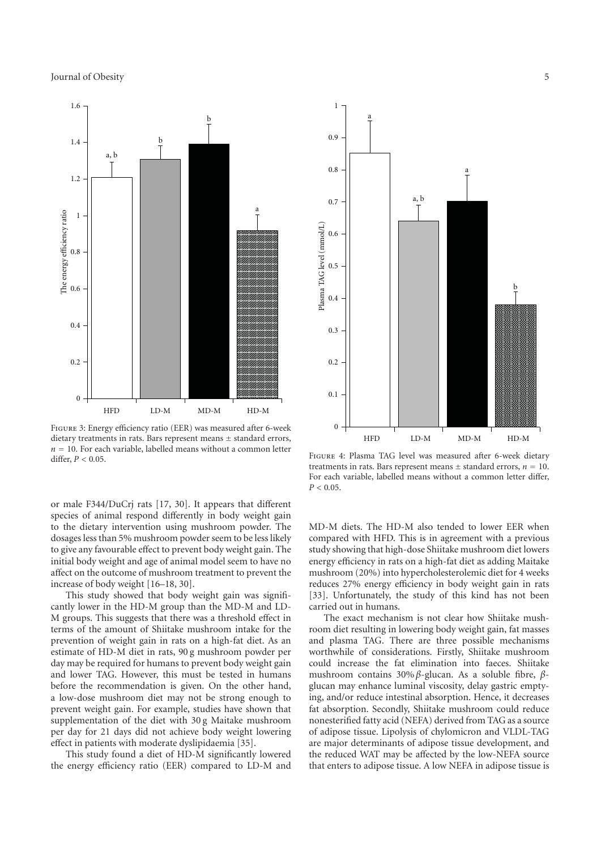

Figure 3: Energy efficiency ratio (EER) was measured after 6-week dietary treatments in rats. Bars represent means  $\pm$  standard errors,  $n = 10$ . For each variable, labelled means without a common letter differ, *P <* 0*.*05.

or male F344/DuCrj rats [17, 30]. It appears that different species of animal respond differently in body weight gain to the dietary intervention using mushroom powder. The dosages less than 5% mushroom powder seem to be less likely to give any favourable effect to prevent body weight gain. The initial body weight and age of animal model seem to have no affect on the outcome of mushroom treatment to prevent the increase of body weight [16–18, 30].

This study showed that body weight gain was significantly lower in the HD-M group than the MD-M and LD-M groups. This suggests that there was a threshold effect in terms of the amount of Shiitake mushroom intake for the prevention of weight gain in rats on a high-fat diet. As an estimate of HD-M diet in rats, 90 g mushroom powder per day may be required for humans to prevent body weight gain and lower TAG. However, this must be tested in humans before the recommendation is given. On the other hand, a low-dose mushroom diet may not be strong enough to prevent weight gain. For example, studies have shown that supplementation of the diet with 30 g Maitake mushroom per day for 21 days did not achieve body weight lowering effect in patients with moderate dyslipidaemia [35].

This study found a diet of HD-M significantly lowered the energy efficiency ratio (EER) compared to LD-M and



Figure 4: Plasma TAG level was measured after 6-week dietary treatments in rats. Bars represent means  $\pm$  standard errors,  $n = 10$ . For each variable, labelled means without a common letter differ,  $P < 0.05$ .

MD-M diets. The HD-M also tended to lower EER when compared with HFD. This is in agreement with a previous study showing that high-dose Shiitake mushroom diet lowers energy efficiency in rats on a high-fat diet as adding Maitake mushroom (20%) into hypercholesterolemic diet for 4 weeks reduces 27% energy efficiency in body weight gain in rats [33]. Unfortunately, the study of this kind has not been carried out in humans.

The exact mechanism is not clear how Shiitake mushroom diet resulting in lowering body weight gain, fat masses and plasma TAG. There are three possible mechanisms worthwhile of considerations. Firstly, Shiitake mushroom could increase the fat elimination into faeces. Shiitake mushroom contains 30% *β*-glucan. As a soluble fibre, *β*glucan may enhance luminal viscosity, delay gastric emptying, and/or reduce intestinal absorption. Hence, it decreases fat absorption. Secondly, Shiitake mushroom could reduce nonesterified fatty acid (NEFA) derived from TAG as a source of adipose tissue. Lipolysis of chylomicron and VLDL-TAG are major determinants of adipose tissue development, and the reduced WAT may be affected by the low-NEFA source that enters to adipose tissue. A low NEFA in adipose tissue is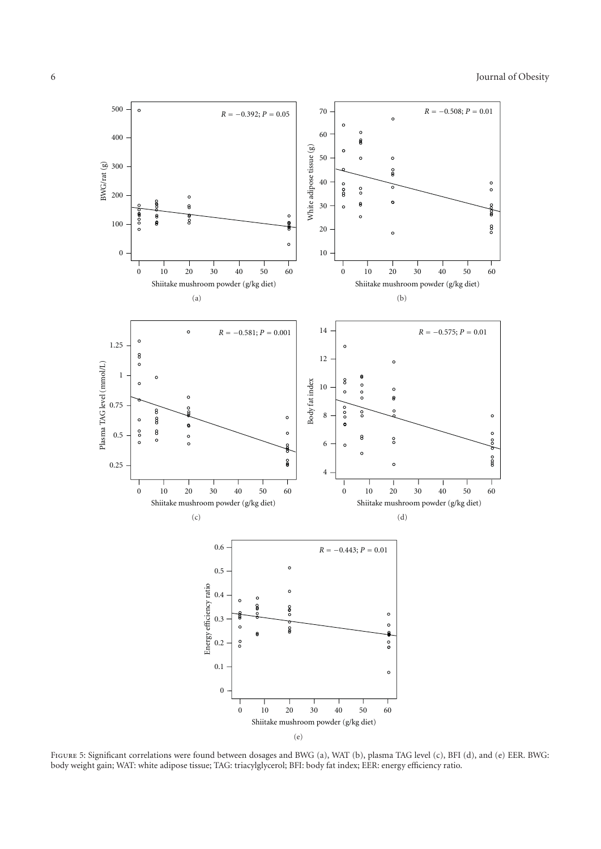

Figure 5: Significant correlations were found between dosages and BWG (a), WAT (b), plasma TAG level (c), BFI (d), and (e) EER. BWG: body weight gain; WAT: white adipose tissue; TAG: triacylglycerol; BFI: body fat index; EER: energy efficiency ratio.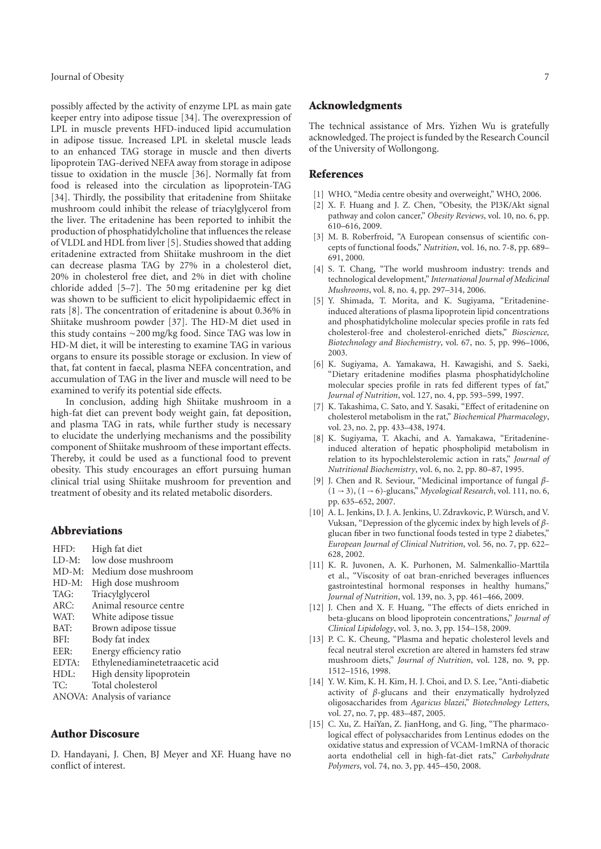possibly affected by the activity of enzyme LPL as main gate keeper entry into adipose tissue [34]. The overexpression of LPL in muscle prevents HFD-induced lipid accumulation in adipose tissue. Increased LPL in skeletal muscle leads to an enhanced TAG storage in muscle and then diverts lipoprotein TAG-derived NEFA away from storage in adipose tissue to oxidation in the muscle [36]. Normally fat from food is released into the circulation as lipoprotein-TAG [34]. Thirdly, the possibility that eritadenine from Shiitake mushroom could inhibit the release of triacylglycerol from the liver. The eritadenine has been reported to inhibit the production of phosphatidylcholine that influences the release of VLDL and HDL from liver [5]. Studies showed that adding eritadenine extracted from Shiitake mushroom in the diet can decrease plasma TAG by 27% in a cholesterol diet, 20% in cholesterol free diet, and 2% in diet with choline chloride added [5–7]. The 50 mg eritadenine per kg diet was shown to be sufficient to elicit hypolipidaemic effect in rats [8]. The concentration of eritadenine is about 0.36% in Shiitake mushroom powder [37]. The HD-M diet used in this study contains ∼200 mg/kg food. Since TAG was low in HD-M diet, it will be interesting to examine TAG in various organs to ensure its possible storage or exclusion. In view of that, fat content in faecal, plasma NEFA concentration, and accumulation of TAG in the liver and muscle will need to be examined to verify its potential side effects.

In conclusion, adding high Shiitake mushroom in a high-fat diet can prevent body weight gain, fat deposition, and plasma TAG in rats, while further study is necessary to elucidate the underlying mechanisms and the possibility component of Shiitake mushroom of these important effects. Thereby, it could be used as a functional food to prevent obesity. This study encourages an effort pursuing human clinical trial using Shiitake mushroom for prevention and treatment of obesity and its related metabolic disorders.

#### **Abbreviations**

| HFD:     | High fat diet                   |
|----------|---------------------------------|
| $LD-M$ : | low dose mushroom               |
| $MD-M$ : | Medium dose mushroom            |
| $HD-M:$  | High dose mushroom              |
| TAG:     | Triacylglycerol                 |
| ARC:     | Animal resource centre          |
| WAT:     | White adipose tissue            |
| BAT:     | Brown adipose tissue            |
| BFI:     | Body fat index                  |
| EER:     | Energy efficiency ratio         |
| EDTA:    | Ethylenediaminetetraacetic acid |
| HDL:     | High density lipoprotein        |
| TC:      | Total cholesterol               |
|          | ANOVA: Analysis of variance     |

### **Author Discosure**

D. Handayani, J. Chen, BJ Meyer and XF. Huang have no conflict of interest.

#### **Acknowledgments**

The technical assistance of Mrs. Yizhen Wu is gratefully acknowledged. The project is funded by the Research Council of the University of Wollongong.

#### **References**

- [1] WHO, "Media centre obesity and overweight," WHO, 2006.
- [2] X. F. Huang and J. Z. Chen, "Obesity, the PI3K/Akt signal pathway and colon cancer," *Obesity Reviews*, vol. 10, no. 6, pp. 610–616, 2009.
- [3] M. B. Roberfroid, "A European consensus of scientific concepts of functional foods," *Nutrition*, vol. 16, no. 7-8, pp. 689– 691, 2000.
- [4] S. T. Chang, "The world mushroom industry: trends and technological development," *International Journal of Medicinal Mushrooms*, vol. 8, no. 4, pp. 297–314, 2006.
- [5] Y. Shimada, T. Morita, and K. Sugiyama, "Eritadenineinduced alterations of plasma lipoprotein lipid concentrations and phosphatidylcholine molecular species profile in rats fed cholesterol-free and cholesterol-enriched diets," *Bioscience, Biotechnology and Biochemistry*, vol. 67, no. 5, pp. 996–1006, 2003.
- [6] K. Sugiyama, A. Yamakawa, H. Kawagishi, and S. Saeki, "Dietary eritadenine modifies plasma phosphatidylcholine molecular species profile in rats fed different types of fat," *Journal of Nutrition*, vol. 127, no. 4, pp. 593–599, 1997.
- [7] K. Takashima, C. Sato, and Y. Sasaki, "Effect of eritadenine on cholesterol metabolism in the rat," *Biochemical Pharmacology*, vol. 23, no. 2, pp. 433–438, 1974.
- [8] K. Sugiyama, T. Akachi, and A. Yamakawa, "Eritadenineinduced alteration of hepatic phospholipid metabolism in relation to its hypochlelsterolemic action in rats," *Journal of Nutritional Biochemistry*, vol. 6, no. 2, pp. 80–87, 1995.
- [9] J. Chen and R. Seviour, "Medicinal importance of fungal *β* (1 → 3), (1 → 6)-glucans," *Mycological Research*, vol. 111, no. 6, pp. 635–652, 2007.
- [10] A. L. Jenkins, D. J. A. Jenkins, U. Zdravkovic, P. Würsch, and V. Vuksan, "Depression of the glycemic index by high levels of *β*glucan fiber in two functional foods tested in type 2 diabetes," *European Journal of Clinical Nutrition*, vol. 56, no. 7, pp. 622– 628, 2002.
- [11] K. R. Juvonen, A. K. Purhonen, M. Salmenkallio-Marttila et al., "Viscosity of oat bran-enriched beverages influences gastrointestinal hormonal responses in healthy humans," *Journal of Nutrition*, vol. 139, no. 3, pp. 461–466, 2009.
- [12] J. Chen and X. F. Huang, "The effects of diets enriched in beta-glucans on blood lipoprotein concentrations," *Journal of Clinical Lipidology*, vol. 3, no. 3, pp. 154–158, 2009.
- [13] P. C. K. Cheung, "Plasma and hepatic cholesterol levels and fecal neutral sterol excretion are altered in hamsters fed straw mushroom diets," *Journal of Nutrition*, vol. 128, no. 9, pp. 1512–1516, 1998.
- [14] Y. W. Kim, K. H. Kim, H. J. Choi, and D. S. Lee, "Anti-diabetic activity of *β*-glucans and their enzymatically hydrolyzed oligosaccharides from *Agaricus blazei*," *Biotechnology Letters*, vol. 27, no. 7, pp. 483–487, 2005.
- [15] C. Xu, Z. HaiYan, Z. JianHong, and G. Jing, "The pharmacological effect of polysaccharides from Lentinus edodes on the oxidative status and expression of VCAM-1mRNA of thoracic aorta endothelial cell in high-fat-diet rats," *Carbohydrate Polymers*, vol. 74, no. 3, pp. 445–450, 2008.